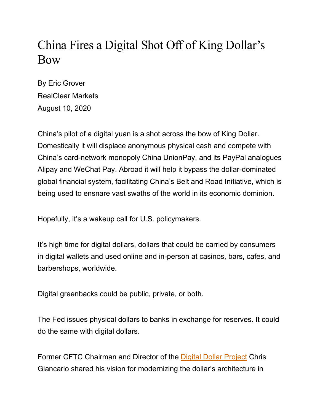## China Fires a Digital Shot Off of King Dollar's Bow

By Eric Grover RealClear Markets August 10, 2020

China's pilot of a digital yuan is a shot across the bow of King Dollar. Domestically it will displace anonymous physical cash and compete with China's card-network monopoly China UnionPay, and its PayPal analogues Alipay and WeChat Pay. Abroad it will help it bypass the dollar-dominated global financial system, facilitating China's Belt and Road Initiative, which is being used to ensnare vast swaths of the world in its economic dominion.

Hopefully, it's a wakeup call for U.S. policymakers.

It's high time for digital dollars, dollars that could be carried by consumers in digital wallets and used online and in-person at casinos, bars, cafes, and barbershops, worldwide.

Digital greenbacks could be public, private, or both.

The Fed issues physical dollars to banks in exchange for reserves. It could do the same with digital dollars.

Former CFTC Chairman and Director of the Digital Dollar Project Chris Giancarlo shared his vision for modernizing the dollar's architecture in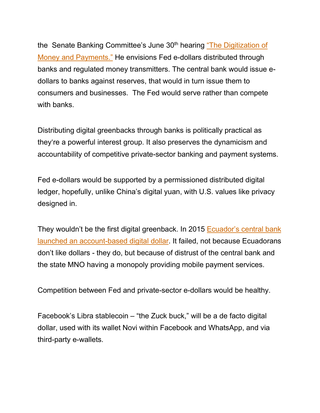the Senate Banking Committee's June 30<sup>th</sup> hearing "The Digitization of Money and Payments." He envisions Fed e-dollars distributed through banks and regulated money transmitters. The central bank would issue edollars to banks against reserves, that would in turn issue them to consumers and businesses. The Fed would serve rather than compete with banks.

Distributing digital greenbacks through banks is politically practical as they're a powerful interest group. It also preserves the dynamicism and accountability of competitive private-sector banking and payment systems.

Fed e-dollars would be supported by a permissioned distributed digital ledger, hopefully, unlike China's digital yuan, with U.S. values like privacy designed in.

They wouldn't be the first digital greenback. In 2015 Ecuador's central bank launched an account-based digital dollar. It failed, not because Ecuadorans don't like dollars - they do, but because of distrust of the central bank and the state MNO having a monopoly providing mobile payment services.

Competition between Fed and private-sector e-dollars would be healthy.

Facebook's Libra stablecoin – "the Zuck buck," will be a de facto digital dollar, used with its wallet Novi within Facebook and WhatsApp, and via third-party e-wallets.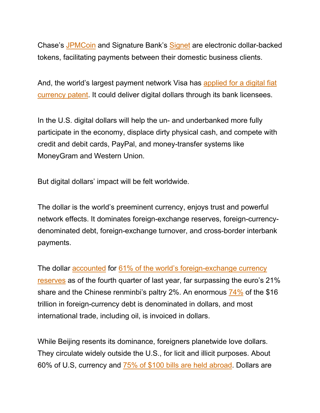Chase's JPMCoin and Signature Bank's Signet are electronic dollar-backed tokens, facilitating payments between their domestic business clients.

And, the world's largest payment network Visa has applied for a digital fiat currency patent. It could deliver digital dollars through its bank licensees.

In the U.S. digital dollars will help the un- and underbanked more fully participate in the economy, displace dirty physical cash, and compete with credit and debit cards, PayPal, and money-transfer systems like MoneyGram and Western Union.

But digital dollars' impact will be felt worldwide.

The dollar is the world's preeminent currency, enjoys trust and powerful network effects. It dominates foreign-exchange reserves, foreign-currencydenominated debt, foreign-exchange turnover, and cross-border interbank payments.

The dollar accounted for 61% of the world's foreign-exchange currency reserves as of the fourth quarter of last year, far surpassing the euro's 21% share and the Chinese renminbi's paltry 2%. An enormous 74% of the \$16 trillion in foreign-currency debt is denominated in dollars, and most international trade, including oil, is invoiced in dollars.

While Beijing resents its dominance, foreigners planetwide love dollars. They circulate widely outside the U.S., for licit and illicit purposes. About 60% of U.S, currency and 75% of \$100 bills are held abroad. Dollars are